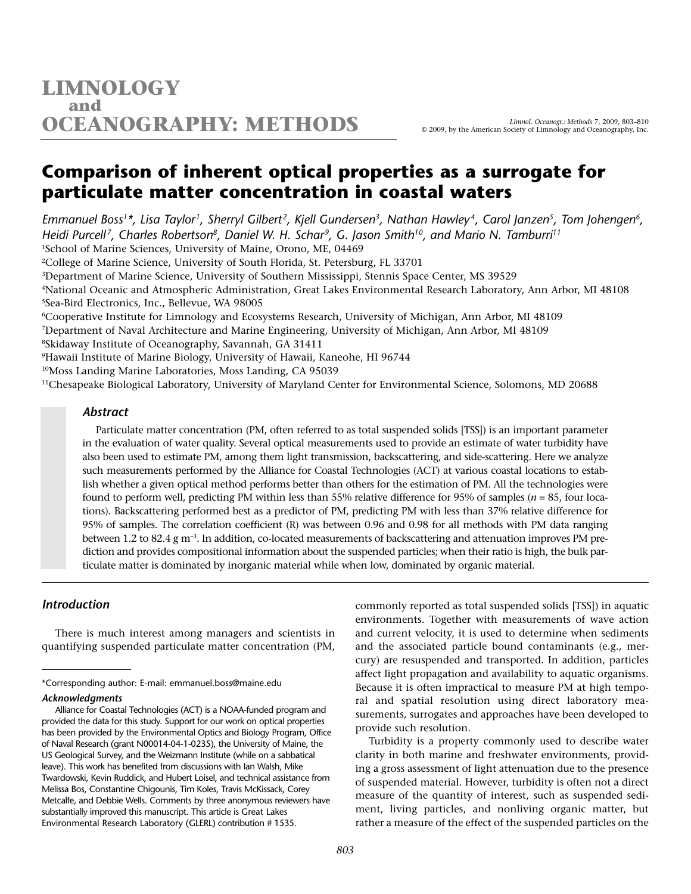## **Comparison of inherent optical properties as a surrogate for particulate matter concentration in coastal waters**

*Emmanuel Boss1\*, Lisa Taylor1, Sherryl Gilbert2, Kjell Gundersen3, Nathan Hawley 4, Carol Janzen5, Tom Johengen6, Heidi Purcell 7, Charles Robertson8, Daniel W. H. Schar9, G. Jason Smith10, and Mario N. Tamburri11* 1School of Marine Sciences, University of Maine, Orono, ME, 04469

2College of Marine Science, University of South Florida, St. Petersburg, FL 33701

3Department of Marine Science, University of Southern Mississippi, Stennis Space Center, MS 39529

4National Oceanic and Atmospheric Administration, Great Lakes Environmental Research Laboratory, Ann Arbor, MI 48108 5Sea-Bird Electronics, Inc., Bellevue, WA 98005

6Cooperative Institute for Limnology and Ecosystems Research, University of Michigan, Ann Arbor, MI 48109

7Department of Naval Architecture and Marine Engineering, University of Michigan, Ann Arbor, MI 48109

8Skidaway Institute of Oceanography, Savannah, GA 31411

9Hawaii Institute of Marine Biology, University of Hawaii, Kaneohe, HI 96744

<sup>10</sup>Moss Landing Marine Laboratories, Moss Landing, CA 95039

11Chesapeake Biological Laboratory, University of Maryland Center for Environmental Science, Solomons, MD 20688

### *Abstract*

Particulate matter concentration (PM, often referred to as total suspended solids [TSS]) is an important parameter in the evaluation of water quality. Several optical measurements used to provide an estimate of water turbidity have also been used to estimate PM, among them light transmission, backscattering, and side-scattering. Here we analyze such measurements performed by the Alliance for Coastal Technologies (ACT) at various coastal locations to establish whether a given optical method performs better than others for the estimation of PM. All the technologies were found to perform well, predicting PM within less than 55% relative difference for 95% of samples (*n* = 85, four locations). Backscattering performed best as a predictor of PM, predicting PM with less than 37% relative difference for 95% of samples. The correlation coefficient (R) was between 0.96 and 0.98 for all methods with PM data ranging between 1.2 to 82.4 g m<sup>-3</sup>. In addition, co-located measurements of backscattering and attenuation improves PM prediction and provides compositional information about the suspended particles; when their ratio is high, the bulk particulate matter is dominated by inorganic material while when low, dominated by organic material.

## *Introduction*

There is much interest among managers and scientists in quantifying suspended particulate matter concentration (PM,

#### *Acknowledgments*

commonly reported as total suspended solids [TSS]) in aquatic environments. Together with measurements of wave action and current velocity, it is used to determine when sediments and the associated particle bound contaminants (e.g., mercury) are resuspended and transported. In addition, particles affect light propagation and availability to aquatic organisms. Because it is often impractical to measure PM at high temporal and spatial resolution using direct laboratory measurements, surrogates and approaches have been developed to provide such resolution.

Turbidity is a property commonly used to describe water clarity in both marine and freshwater environments, providing a gross assessment of light attenuation due to the presence of suspended material. However, turbidity is often not a direct measure of the quantity of interest, such as suspended sediment, living particles, and nonliving organic matter, but rather a measure of the effect of the suspended particles on the

<sup>\*</sup>Corresponding author: E-mail: emmanuel.boss@maine.edu

Alliance for Coastal Technologies (ACT) is a NOAA-funded program and provided the data for this study. Support for our work on optical properties has been provided by the Environmental Optics and Biology Program, Office of Naval Research (grant N00014-04-1-0235), the University of Maine, the US Geological Survey, and the Weizmann Institute (while on a sabbatical leave). This work has benefited from discussions with Ian Walsh, Mike Twardowski, Kevin Ruddick, and Hubert Loisel, and technical assistance from Melissa Bos, Constantine Chigounis, Tim Koles, Travis McKissack, Corey Metcalfe, and Debbie Wells. Comments by three anonymous reviewers have substantially improved this manuscript. This article is Great Lakes Environmental Research Laboratory (GLERL) contribution # 1535.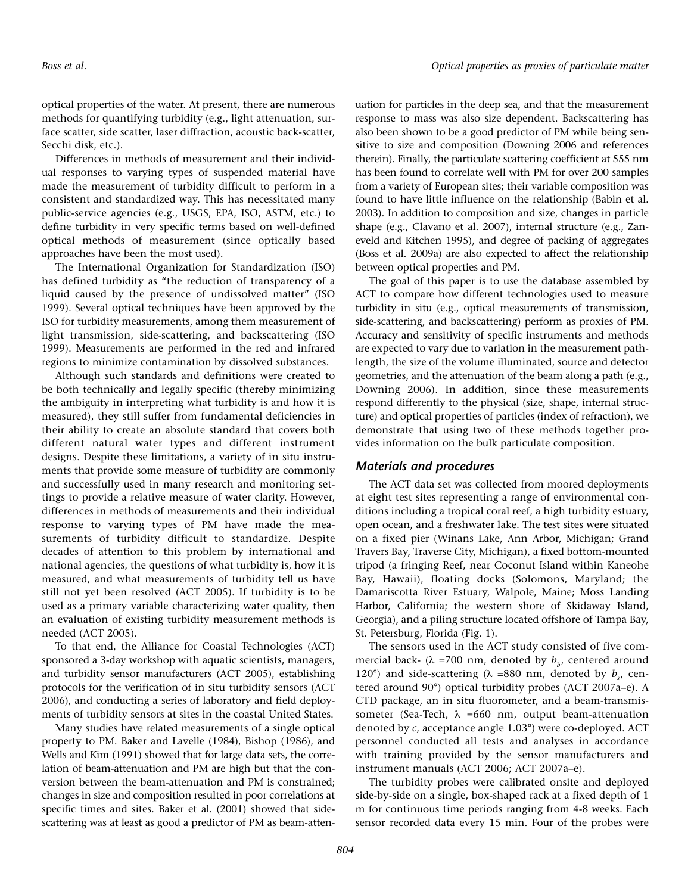optical properties of the water. At present, there are numerous methods for quantifying turbidity (e.g., light attenuation, surface scatter, side scatter, laser diffraction, acoustic back-scatter, Secchi disk, etc.).

Differences in methods of measurement and their individual responses to varying types of suspended material have made the measurement of turbidity difficult to perform in a consistent and standardized way. This has necessitated many public-service agencies (e.g., USGS, EPA, ISO, ASTM, etc.) to define turbidity in very specific terms based on well-defined optical methods of measurement (since optically based approaches have been the most used).

The International Organization for Standardization (ISO) has defined turbidity as "the reduction of transparency of a liquid caused by the presence of undissolved matter" (ISO 1999). Several optical techniques have been approved by the ISO for turbidity measurements, among them measurement of light transmission, side-scattering, and backscattering (ISO 1999). Measurements are performed in the red and infrared regions to minimize contamination by dissolved substances.

Although such standards and definitions were created to be both technically and legally specific (thereby minimizing the ambiguity in interpreting what turbidity is and how it is measured), they still suffer from fundamental deficiencies in their ability to create an absolute standard that covers both different natural water types and different instrument designs. Despite these limitations, a variety of in situ instruments that provide some measure of turbidity are commonly and successfully used in many research and monitoring settings to provide a relative measure of water clarity. However, differences in methods of measurements and their individual response to varying types of PM have made the measurements of turbidity difficult to standardize. Despite decades of attention to this problem by international and national agencies, the questions of what turbidity is, how it is measured, and what measurements of turbidity tell us have still not yet been resolved (ACT 2005). If turbidity is to be used as a primary variable characterizing water quality, then an evaluation of existing turbidity measurement methods is needed (ACT 2005).

To that end, the Alliance for Coastal Technologies (ACT) sponsored a 3-day workshop with aquatic scientists, managers, and turbidity sensor manufacturers (ACT 2005), establishing protocols for the verification of in situ turbidity sensors (ACT 2006), and conducting a series of laboratory and field deployments of turbidity sensors at sites in the coastal United States.

Many studies have related measurements of a single optical property to PM. Baker and Lavelle (1984), Bishop (1986), and Wells and Kim (1991) showed that for large data sets, the correlation of beam-attenuation and PM are high but that the conversion between the beam-attenuation and PM is constrained; changes in size and composition resulted in poor correlations at specific times and sites. Baker et al. (2001) showed that sidescattering was at least as good a predictor of PM as beam-attenuation for particles in the deep sea, and that the measurement response to mass was also size dependent. Backscattering has also been shown to be a good predictor of PM while being sensitive to size and composition (Downing 2006 and references therein). Finally, the particulate scattering coefficient at 555 nm has been found to correlate well with PM for over 200 samples from a variety of European sites; their variable composition was found to have little influence on the relationship (Babin et al. 2003). In addition to composition and size, changes in particle shape (e.g., Clavano et al. 2007), internal structure (e.g., Zaneveld and Kitchen 1995), and degree of packing of aggregates (Boss et al. 2009a) are also expected to affect the relationship between optical properties and PM.

The goal of this paper is to use the database assembled by ACT to compare how different technologies used to measure turbidity in situ (e.g., optical measurements of transmission, side-scattering, and backscattering) perform as proxies of PM. Accuracy and sensitivity of specific instruments and methods are expected to vary due to variation in the measurement pathlength, the size of the volume illuminated, source and detector geometries, and the attenuation of the beam along a path (e.g., Downing 2006). In addition, since these measurements respond differently to the physical (size, shape, internal structure) and optical properties of particles (index of refraction), we demonstrate that using two of these methods together provides information on the bulk particulate composition.

## *Materials and procedures*

The ACT data set was collected from moored deployments at eight test sites representing a range of environmental conditions including a tropical coral reef, a high turbidity estuary, open ocean, and a freshwater lake. The test sites were situated on a fixed pier (Winans Lake, Ann Arbor, Michigan; Grand Travers Bay, Traverse City, Michigan), a fixed bottom-mounted tripod (a fringing Reef, near Coconut Island within Kaneohe Bay, Hawaii), floating docks (Solomons, Maryland; the Damariscotta River Estuary, Walpole, Maine; Moss Landing Harbor, California; the western shore of Skidaway Island, Georgia), and a piling structure located offshore of Tampa Bay, St. Petersburg, Florida (Fig. 1).

The sensors used in the ACT study consisted of five commercial back- ( $\lambda$  =700 nm, denoted by  $b_{\mu}$ , centered around 120°) and side-scattering (λ =880 nm, denoted by  $b_s$ , centered around 90°) optical turbidity probes (ACT 2007a–e). A CTD package, an in situ fluorometer, and a beam-transmissometer (Sea-Tech,  $\lambda$  =660 nm, output beam-attenuation denoted by *c*, acceptance angle 1.03°) were co-deployed. ACT personnel conducted all tests and analyses in accordance with training provided by the sensor manufacturers and instrument manuals (ACT 2006; ACT 2007a–e).

The turbidity probes were calibrated onsite and deployed side-by-side on a single, box-shaped rack at a fixed depth of 1 m for continuous time periods ranging from 4-8 weeks. Each sensor recorded data every 15 min. Four of the probes were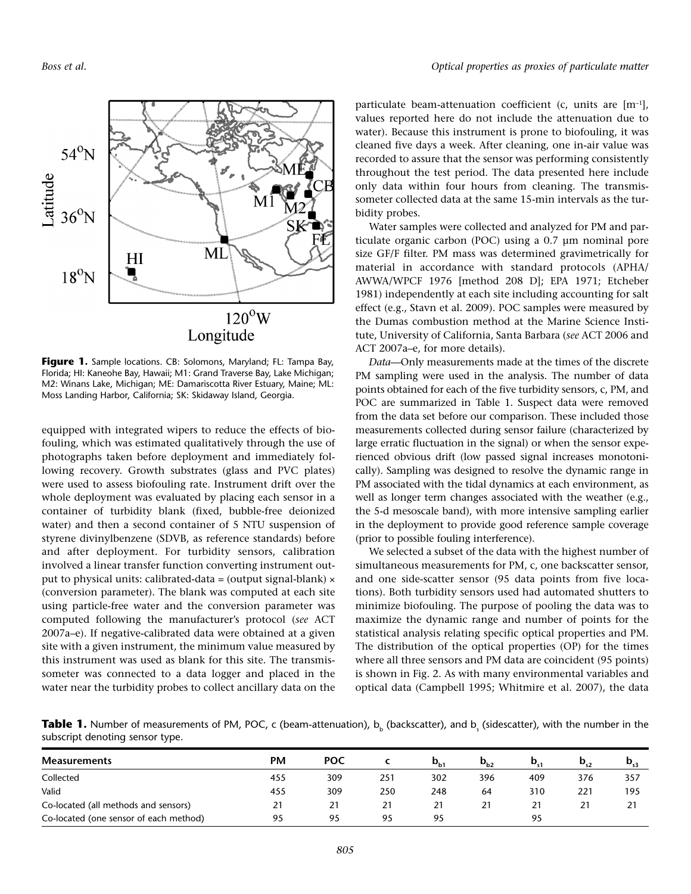

Figure 1. Sample locations. CB: Solomons, Maryland; FL: Tampa Bay, Florida; HI: Kaneohe Bay, Hawaii; M1: Grand Traverse Bay, Lake Michigan; M2: Winans Lake, Michigan; ME: Damariscotta River Estuary, Maine; ML: Moss Landing Harbor, California; SK: Skidaway Island, Georgia.

equipped with integrated wipers to reduce the effects of biofouling, which was estimated qualitatively through the use of photographs taken before deployment and immediately following recovery. Growth substrates (glass and PVC plates) were used to assess biofouling rate. Instrument drift over the whole deployment was evaluated by placing each sensor in a container of turbidity blank (fixed, bubble-free deionized water) and then a second container of 5 NTU suspension of styrene divinylbenzene (SDVB, as reference standards) before and after deployment. For turbidity sensors, calibration involved a linear transfer function converting instrument output to physical units: calibrated-data = (output signal-blank)  $\times$ (conversion parameter). The blank was computed at each site using particle-free water and the conversion parameter was computed following the manufacturer's protocol (*see* ACT 2007a–e). If negative-calibrated data were obtained at a given site with a given instrument, the minimum value measured by this instrument was used as blank for this site. The transmissometer was connected to a data logger and placed in the water near the turbidity probes to collect ancillary data on the

particulate beam-attenuation coefficient (c, units are  $[m^{-1}]$ , values reported here do not include the attenuation due to water). Because this instrument is prone to biofouling, it was cleaned five days a week. After cleaning, one in-air value was recorded to assure that the sensor was performing consistently throughout the test period. The data presented here include only data within four hours from cleaning. The transmissometer collected data at the same 15-min intervals as the turbidity probes.

Water samples were collected and analyzed for PM and particulate organic carbon (POC) using a 0.7 µm nominal pore size GF/F filter. PM mass was determined gravimetrically for material in accordance with standard protocols (APHA/ AWWA/ WPCF 1976 [method 208 D]; EPA 1971; Etcheber 1981) independently at each site including accounting for salt effect (e.g., Stavn et al. 2009). POC samples were measured by the Dumas combustion method at the Marine Science Institute, University of California, Santa Barbara (*see* ACT 2006 and ACT 2007a–e, for more details).

*Data—*Only measurements made at the times of the discrete PM sampling were used in the analysis. The number of data points obtained for each of the five turbidity sensors, c, PM, and POC are summarized in Table 1. Suspect data were removed from the data set before our comparison. These included those measurements collected during sensor failure (characterized by large erratic fluctuation in the signal) or when the sensor experienced obvious drift (low passed signal increases monotonically). Sampling was designed to resolve the dynamic range in PM associated with the tidal dynamics at each environment, as well as longer term changes associated with the weather (e.g., the 5-d mesoscale band), with more intensive sampling earlier in the deployment to provide good reference sample coverage (prior to possible fouling interference).

We selected a subset of the data with the highest number of simultaneous measurements for PM, c, one backscatter sensor, and one side-scatter sensor (95 data points from five locations). Both turbidity sensors used had automated shutters to minimize biofouling. The purpose of pooling the data was to maximize the dynamic range and number of points for the statistical analysis relating specific optical properties and PM. The distribution of the optical properties (OP) for the times where all three sensors and PM data are coincident (95 points) is shown in Fig. 2. As with many environmental variables and optical data (Campbell 1995; Whitmire et al. 2007), the data

**Table 1.** Number of measurements of PM, POC, c (beam-attenuation), b<sub>b</sub> (backscatter), and b<sub>s</sub> (sidescatter), with the number in the subscript denoting sensor type.

| <b>Measurements</b>                    | <b>PM</b> | <b>POC</b> |     | $\mathbf{p}_{\text{b1}}$ | $D_{b2}$ | D   | $D_{s2}$ | $\mathbf{D}_{s3}$ |
|----------------------------------------|-----------|------------|-----|--------------------------|----------|-----|----------|-------------------|
| Collected                              | 455       | 309        | 251 | 302                      | 396      | 409 | 376      | 357               |
| Valid                                  | 455       | 309        | 250 | 248                      | 64       | 310 | 221      | 195               |
| Co-located (all methods and sensors)   | 21        | 21         | 21  |                          | 21       |     |          | 21                |
| Co-located (one sensor of each method) | 95        | 95         | 95  | 95                       |          | 95  |          |                   |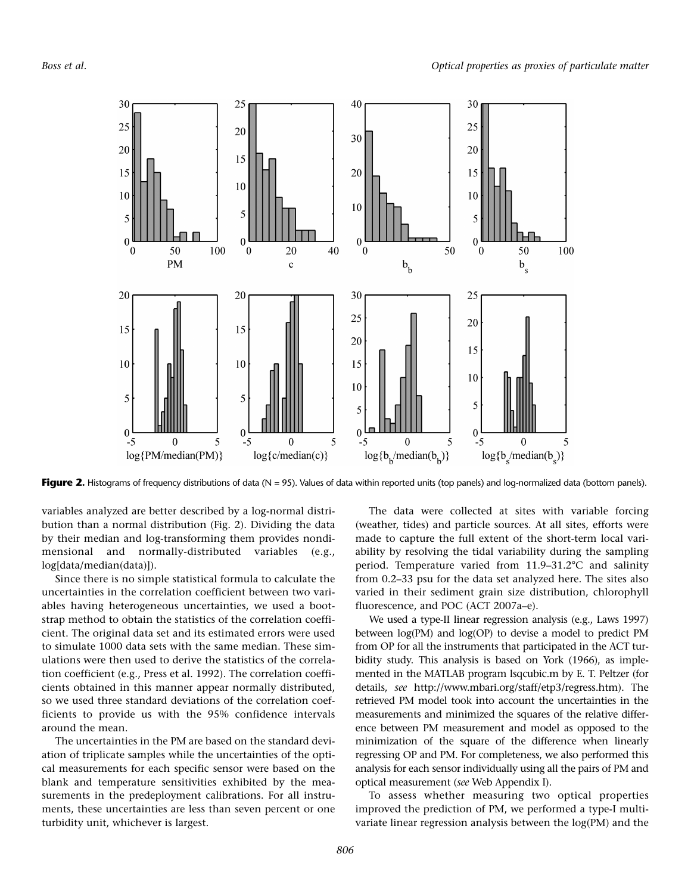

Figure 2. Histograms of frequency distributions of data (N = 95). Values of data within reported units (top panels) and log-normalized data (bottom panels).

variables analyzed are better described by a log-normal distribution than a normal distribution (Fig. 2). Dividing the data by their median and log-transforming them provides nondimensional and normally-distributed variables (e.g., log[data/median(data)]).

Since there is no simple statistical formula to calculate the uncertainties in the correlation coefficient between two variables having heterogeneous uncertainties, we used a bootstrap method to obtain the statistics of the correlation coefficient. The original data set and its estimated errors were used to simulate 1000 data sets with the same median. These simulations were then used to derive the statistics of the correlation coefficient (e.g., Press et al. 1992). The correlation coefficients obtained in this manner appear normally distributed, so we used three standard deviations of the correlation coefficients to provide us with the 95% confidence intervals around the mean.

The uncertainties in the PM are based on the standard deviation of triplicate samples while the uncertainties of the optical measurements for each specific sensor were based on the blank and temperature sensitivities exhibited by the measurements in the predeployment calibrations. For all instruments, these uncertainties are less than seven percent or one turbidity unit, whichever is largest.

The data were collected at sites with variable forcing (weather, tides) and particle sources. At all sites, efforts were made to capture the full extent of the short-term local variability by resolving the tidal variability during the sampling period. Temperature varied from 11.9–31.2°C and salinity from 0.2–33 psu for the data set analyzed here. The sites also varied in their sediment grain size distribution, chlorophyll fluorescence, and POC (ACT 2007a–e).

We used a type-II linear regression analysis (e.g., Laws 1997) between log(PM) and log(OP) to devise a model to predict PM from OP for all the instruments that participated in the ACT turbidity study. This analysis is based on York (1966), as implemented in the MATLAB program lsqcubic.m by E. T. Peltzer (for details, *see* http://www.mbari.org/staff/etp3/regress.htm). The retrieved PM model took into account the uncertainties in the measurements and minimized the squares of the relative difference between PM measurement and model as opposed to the minimization of the square of the difference when linearly regressing OP and PM. For completeness, we also performed this analysis for each sensor individually using all the pairs of PM and optical measurement (*see* [Web Appendix I\)](http://aslo.org/lomethods/free/2009/0803a1.avi).

To assess whether measuring two optical properties improved the prediction of PM, we performed a type-I multivariate linear regression analysis between the log(PM) and the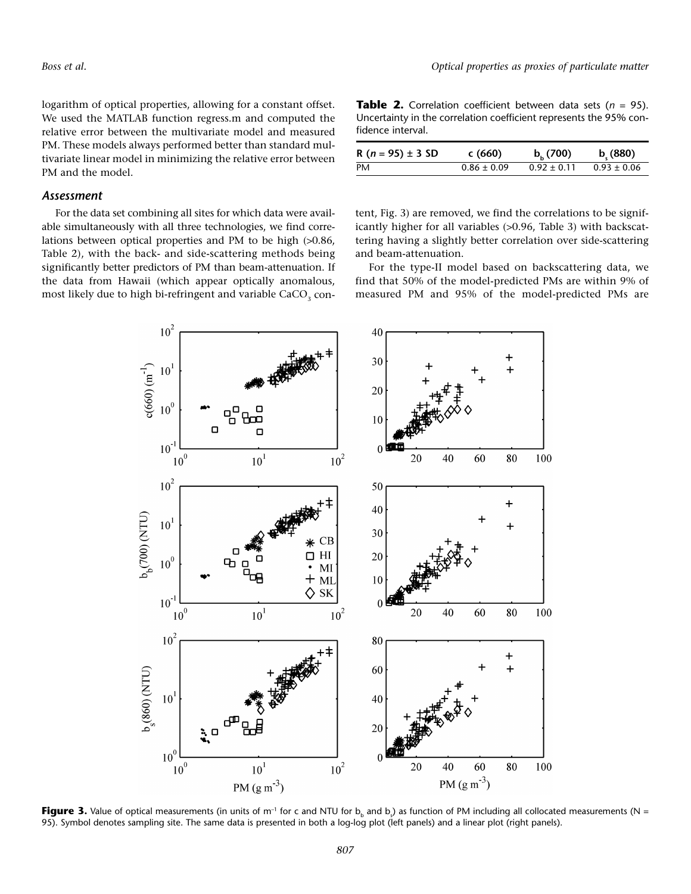logarithm of optical properties, allowing for a constant offset. We used the MATLAB function regress.m and computed the relative error between the multivariate model and measured PM. These models always performed better than standard multivariate linear model in minimizing the relative error between PM and the model.

#### *Assessment*

For the data set combining all sites for which data were available simultaneously with all three technologies, we find correlations between optical properties and PM to be high (>0.86, Table 2), with the back- and side-scattering methods being significantly better predictors of PM than beam-attenuation. If the data from Hawaii (which appear optically anomalous, most likely due to high bi-refringent and variable  $CaCO<sub>3</sub>$  con-

**Table 2.** Correlation coefficient between data sets (*n* = 95). Uncertainty in the correlation coefficient represents the 95% confidence interval.

| R ( $n = 95$ ) $\pm$ 3 SD | c(660)          | $b_{h}$ (700) | b(880)          |
|---------------------------|-----------------|---------------|-----------------|
| PM                        | $0.86 \pm 0.09$ | $0.92 + 0.11$ | $0.93 \pm 0.06$ |

tent, Fig. 3) are removed, we find the correlations to be significantly higher for all variables (>0.96, Table 3) with backscattering having a slightly better correlation over side-scattering and beam-attenuation.

For the type-II model based on backscattering data, we find that 50% of the model-predicted PMs are within 9% of measured PM and 95% of the model-predicted PMs are



 ${\sf Figure~3.}$  Value of optical measurements (in units of m<sup>-1</sup> for c and NTU for b<sub>b</sub> and b<sub>s</sub>) as function of PM including all collocated measurements (N = 95). Symbol denotes sampling site. The same data is presented in both a log-log plot (left panels) and a linear plot (right panels).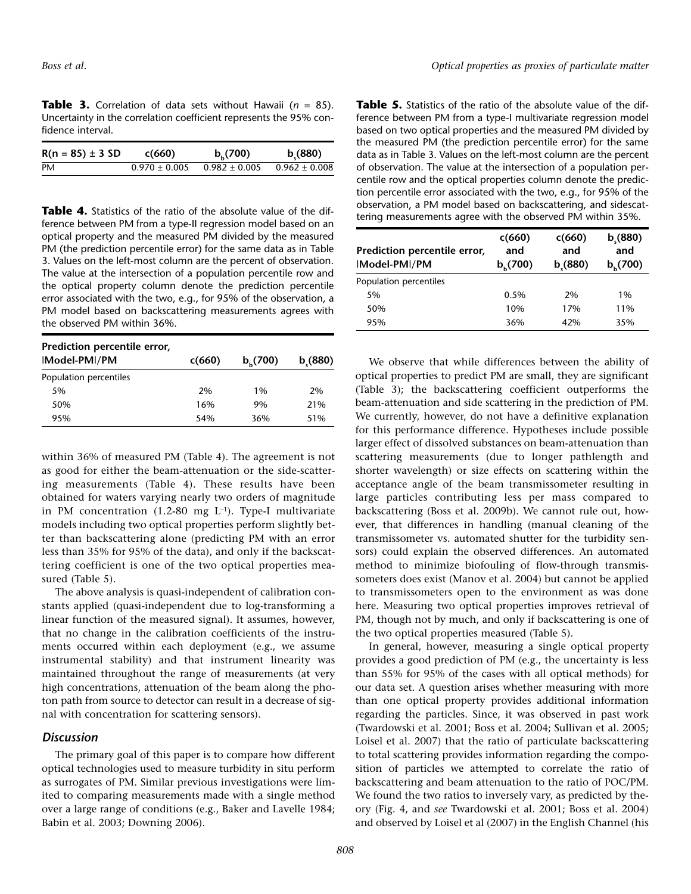**Table 3.** Correlation of data sets without Hawaii (*n* = 85). Uncertainty in the correlation coefficient represents the 95% confidence interval.

| $R(n = 85) \pm 3 SD$ | c(660)            | $b_{h}$ (700)     | b(880)            |
|----------------------|-------------------|-------------------|-------------------|
| PM                   | $0.970 \pm 0.005$ | $0.982 \pm 0.005$ | $0.962 \pm 0.008$ |

**Table 4.** Statistics of the ratio of the absolute value of the difference between PM from a type-II regression model based on an optical property and the measured PM divided by the measured PM (the prediction percentile error) for the same data as in Table 3. Values on the left-most column are the percent of observation. The value at the intersection of a population percentile row and the optical property column denote the prediction percentile error associated with the two, e.g., for 95% of the observation, a PM model based on backscattering measurements agrees with the observed PM within 36%.

| Prediction percentile error, |        |               |        |  |
|------------------------------|--------|---------------|--------|--|
| IModel-PMI/PM                | c(660) | $b_{h}$ (700) | b(880) |  |
| Population percentiles       |        |               |        |  |
| 5%                           | 2%     | 1%            | 2%     |  |
| 50%                          | 16%    | 9%            | 21%    |  |
| 95%                          | 54%    | 36%           | 51%    |  |

within 36% of measured PM (Table 4). The agreement is not as good for either the beam-attenuation or the side-scattering measurements (Table 4). These results have been obtained for waters varying nearly two orders of magnitude in PM concentration  $(1.2-80$  mg L<sup>-1</sup>). Type-I multivariate models including two optical properties perform slightly better than backscattering alone (predicting PM with an error less than 35% for 95% of the data), and only if the backscattering coefficient is one of the two optical properties measured (Table 5).

The above analysis is quasi-independent of calibration constants applied (quasi-independent due to log-transforming a linear function of the measured signal). It assumes, however, that no change in the calibration coefficients of the instruments occurred within each deployment (e.g., we assume instrumental stability) and that instrument linearity was maintained throughout the range of measurements (at very high concentrations, attenuation of the beam along the photon path from source to detector can result in a decrease of signal with concentration for scattering sensors).

### *Discussion*

The primary goal of this paper is to compare how different optical technologies used to measure turbidity in situ perform as surrogates of PM. Similar previous investigations were limited to comparing measurements made with a single method over a large range of conditions (e.g., Baker and Lavelle 1984; Babin et al. 2003; Downing 2006).

**Table 5.** Statistics of the ratio of the absolute value of the difference between PM from a type-I multivariate regression model based on two optical properties and the measured PM divided by the measured PM (the prediction percentile error) for the same data as in Table 3. Values on the left-most column are the percent of observation. The value at the intersection of a population percentile row and the optical properties column denote the prediction percentile error associated with the two, e.g., for 95% of the observation, a PM model based on backscattering, and sidescattering measurements agree with the observed PM within 35%.

| Prediction percentile error,<br>Model-PMI/PM | c(660)<br>and<br>$b_{h}$ (700) | c(660)<br>and<br>b(880) | b(880)<br>and<br>b(700) |
|----------------------------------------------|--------------------------------|-------------------------|-------------------------|
| Population percentiles                       |                                |                         |                         |
| 5%                                           | 0.5%                           | 2%                      | 1%                      |
| 50%                                          | 10%                            | 17%                     | 11%                     |
| 95%                                          | 36%                            | 42%                     | 35%                     |

We observe that while differences between the ability of optical properties to predict PM are small, they are significant (Table 3); the backscattering coefficient outperforms the beam-attenuation and side scattering in the prediction of PM. We currently, however, do not have a definitive explanation for this performance difference. Hypotheses include possible larger effect of dissolved substances on beam-attenuation than scattering measurements (due to longer pathlength and shorter wavelength) or size effects on scattering within the acceptance angle of the beam transmissometer resulting in large particles contributing less per mass compared to backscattering (Boss et al. 2009b). We cannot rule out, however, that differences in handling (manual cleaning of the transmissometer vs. automated shutter for the turbidity sensors) could explain the observed differences. An automated method to minimize biofouling of flow-through transmissometers does exist (Manov et al. 2004) but cannot be applied to transmissometers open to the environment as was done here. Measuring two optical properties improves retrieval of PM, though not by much, and only if backscattering is one of the two optical properties measured (Table 5).

In general, however, measuring a single optical property provides a good prediction of PM (e.g., the uncertainty is less than 55% for 95% of the cases with all optical methods) for our data set. A question arises whether measuring with more than one optical property provides additional information regarding the particles. Since, it was observed in past work (Twardowski et al. 2001; Boss et al. 2004; Sullivan et al. 2005; Loisel et al. 2007) that the ratio of particulate backscattering to total scattering provides information regarding the composition of particles we attempted to correlate the ratio of backscattering and beam attenuation to the ratio of POC/PM. We found the two ratios to inversely vary, as predicted by theory (Fig. 4, and *see* Twardowski et al. 2001; Boss et al. 2004) and observed by Loisel et al (2007) in the English Channel (his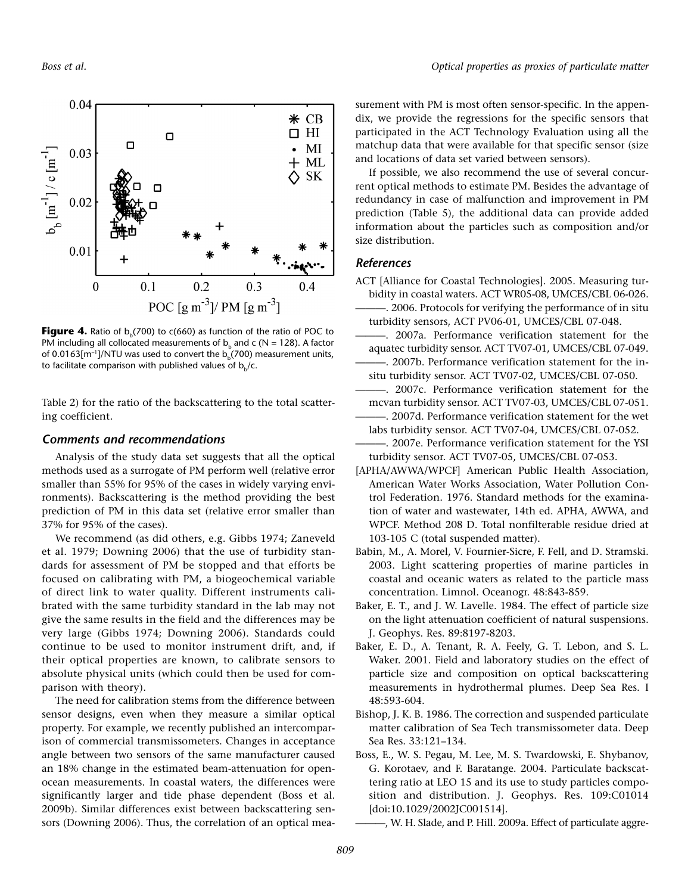

**Figure 4.** Ratio of  $b(700)$  to  $c(660)$  as function of the ratio of POC to PM including all collocated measurements of  $b<sub>b</sub>$  and c (N = 128). A factor of 0.0163[m<sup>-1</sup>]/NTU was used to convert the  $b<sub>b</sub>(700)$  measurement units, to facilitate comparison with published values of  $b<sub>b</sub>/c$ .

Table 2) for the ratio of the backscattering to the total scattering coefficient.

#### *Comments and recommendations*

Analysis of the study data set suggests that all the optical methods used as a surrogate of PM perform well (relative error smaller than 55% for 95% of the cases in widely varying environments). Backscattering is the method providing the best prediction of PM in this data set (relative error smaller than 37% for 95% of the cases).

We recommend (as did others, e.g. Gibbs 1974; Zaneveld et al. 1979; Downing 2006) that the use of turbidity standards for assessment of PM be stopped and that efforts be focused on calibrating with PM, a biogeochemical variable of direct link to water quality. Different instruments calibrated with the same turbidity standard in the lab may not give the same results in the field and the differences may be very large (Gibbs 1974; Downing 2006). Standards could continue to be used to monitor instrument drift, and, if their optical properties are known, to calibrate sensors to absolute physical units (which could then be used for comparison with theory).

The need for calibration stems from the difference between sensor designs, even when they measure a similar optical property. For example, we recently published an intercomparison of commercial transmissometers. Changes in acceptance angle between two sensors of the same manufacturer caused an 18% change in the estimated beam-attenuation for openocean measurements. In coastal waters, the differences were significantly larger and tide phase dependent (Boss et al. 2009b). Similar differences exist between backscattering sensors (Downing 2006). Thus, the correlation of an optical measurement with PM is most often sensor-specific. In the appendix, we provide the regressions for the specific sensors that participated in the ACT Technology Evaluation using all the matchup data that were available for that specific sensor (size and locations of data set varied between sensors).

If possible, we also recommend the use of several concurrent optical methods to estimate PM. Besides the advantage of redundancy in case of malfunction and improvement in PM prediction (Table 5), the additional data can provide added information about the particles such as composition and/or size distribution.

#### *References*

- ACT [Alliance for Coastal Technologies]. 2005. Measuring turbidity in coastal waters. ACT WR05-08, UMCES/CBL 06-026.
	- -. 2006. Protocols for verifying the performance of in situ turbidity sensors, ACT PV06-01, UMCES/CBL 07-048.
- ———. 2007a. Performance verification statement for the aquatec turbidity sensor. ACT TV07-01, UMCES/CBL 07-049. ———. 2007b. Performance verification statement for the in-
- situ turbidity sensor. ACT TV07-02, UMCES/CBL 07-050. ———. 2007c. Performance verification statement for the
- mcvan turbidity sensor. ACT TV07-03, UMCES/CBL 07-051. -. 2007d. Performance verification statement for the wet
- labs turbidity sensor. ACT TV07-04, UMCES/CBL 07-052. -. 2007e. Performance verification statement for the YSI
- turbidity sensor. ACT TV07-05, UMCES/CBL 07-053.
- [APHA/AWWA/WPCF] American Public Health Association, American Water Works Association, Water Pollution Control Federation. 1976. Standard methods for the examination of water and wastewater, 14th ed. APHA, AWWA, and WPCF. Method 208 D. Total nonfilterable residue dried at 103-105 C (total suspended matter).
- Babin, M., A. Morel, V. Fournier-Sicre, F. Fell, and D. Stramski. 2003. Light scattering properties of marine particles in coastal and oceanic waters as related to the particle mass concentration. Limnol. Oceanogr. 48:843-859.
- Baker, E. T., and J. W. Lavelle. 1984. The effect of particle size on the light attenuation coefficient of natural suspensions. J. Geophys. Res. 89:8197-8203.
- Baker, E. D., A. Tenant, R. A. Feely, G. T. Lebon, and S. L. Waker. 2001. Field and laboratory studies on the effect of particle size and composition on optical backscattering measurements in hydrothermal plumes. Deep Sea Res. I 48:593-604.
- Bishop, J. K. B. 1986. The correction and suspended particulate matter calibration of Sea Tech transmissometer data. Deep Sea Res. 33:121–134.
- Boss, E., W. S. Pegau, M. Lee, M. S. Twardowski, E. Shybanov, G. Korotaev, and F. Baratange. 2004. Particulate backscattering ratio at LEO 15 and its use to study particles composition and distribution. J. Geophys. Res. 109:C01014 [doi:10.1029/2002]C001514].

-, W. H. Slade, and P. Hill. 2009a. Effect of particulate aggre-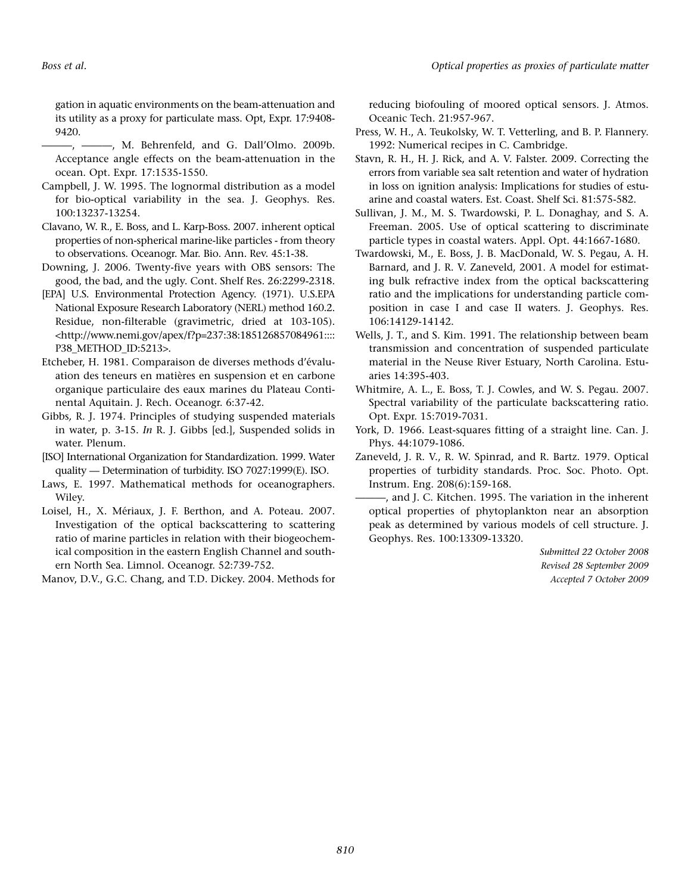gation in aquatic environments on the beam-attenuation and its utility as a proxy for particulate mass. Opt, Expr. 17:9408- 9420.

———, ———, M. Behrenfeld, and G. Dall'Olmo. 2009b. Acceptance angle effects on the beam-attenuation in the ocean. Opt. Expr. 17:1535-1550.

- Campbell, J. W. 1995. The lognormal distribution as a model for bio-optical variability in the sea. J. Geophys. Res. 100:13237-13254.
- Clavano, W. R., E. Boss, and L. Karp-Boss. 2007. inherent optical properties of non-spherical marine-like particles - from theory to observations. Oceanogr. Mar. Bio. Ann. Rev. 45:1-38.
- Downing, J. 2006. Twenty-five years with OBS sensors: The good, the bad, and the ugly. Cont. Shelf Res. 26:2299-2318.
- [EPA] U.S. Environmental Protection Agency. (1971). U.S.EPA National Exposure Research Laboratory (NERL) method 160.2. Residue, non-filterable (gravimetric, dried at 103-105). <http://www.nemi.gov/apex/f?p=237:38:185126857084961:::: P38\_METHOD\_ID:5213>.
- Etcheber, H. 1981. Comparaison de diverses methods d'évaluation des teneurs en matières en suspension et en carbone organique particulaire des eaux marines du Plateau Continental Aquitain. J. Rech. Oceanogr. 6:37-42.
- Gibbs*,* R. J. 1974. Principles of studying suspended materials in water, p. 3-15. *In* R. J. Gibbs [ed.], Suspended solids in water. Plenum.
- [ISO] International Organization for Standardization. 1999. Water quality — Determination of turbidity. ISO 7027:1999(E). ISO.
- Laws, E. 1997. Mathematical methods for oceanographers. Wiley.
- Loisel, H., X. Mériaux, J. F. Berthon, and A. Poteau. 2007. Investigation of the optical backscattering to scattering ratio of marine particles in relation with their biogeochemical composition in the eastern English Channel and southern North Sea. Limnol. Oceanogr. 52:739-752.

Manov, D.V., G.C. Chang, and T.D. Dickey. 2004. Methods for

reducing biofouling of moored optical sensors. J. Atmos. Oceanic Tech. 21:957-967.

- Press, W. H., A. Teukolsky, W. T. Vetterling, and B. P. Flannery. 1992: Numerical recipes in C*.* Cambridge.
- Stavn, R. H., H. J. Rick, and A. V. Falster. 2009. Correcting the errors from variable sea salt retention and water of hydration in loss on ignition analysis: Implications for studies of estuarine and coastal waters. Est. Coast. Shelf Sci. 81:575-582.
- Sullivan, J. M., M. S. Twardowski, P. L. Donaghay, and S. A. Freeman. 2005. Use of optical scattering to discriminate particle types in coastal waters. Appl. Opt. 44:1667-1680.
- Twardowski, M., E. Boss, J. B. MacDonald, W. S. Pegau, A. H. Barnard, and J. R. V. Zaneveld, 2001. A model for estimating bulk refractive index from the optical backscattering ratio and the implications for understanding particle composition in case I and case II waters. J. Geophys. Res. 106:14129-14142.
- Wells, J. T., and S. Kim. 1991. The relationship between beam transmission and concentration of suspended particulate material in the Neuse River Estuary, North Carolina. Estuaries 14:395-403.
- Whitmire, A. L., E. Boss, T. J. Cowles, and W. S. Pegau. 2007. Spectral variability of the particulate backscattering ratio. Opt. Expr. 15:7019-7031.
- York, D. 1966. Least-squares fitting of a straight line. Can. J. Phys. 44:1079-1086.
- Zaneveld, J. R. V., R. W. Spinrad, and R. Bartz. 1979. Optical properties of turbidity standards. Proc. Soc. Photo. Opt. Instrum. Eng. 208(6):159-168.
	- -, and J. C. Kitchen. 1995. The variation in the inherent optical properties of phytoplankton near an absorption peak as determined by various models of cell structure. J. Geophys. Res. 100:13309-13320.

*Submitted 22 October 2008 Revised 28 September 2009 Accepted 7 October 2009*